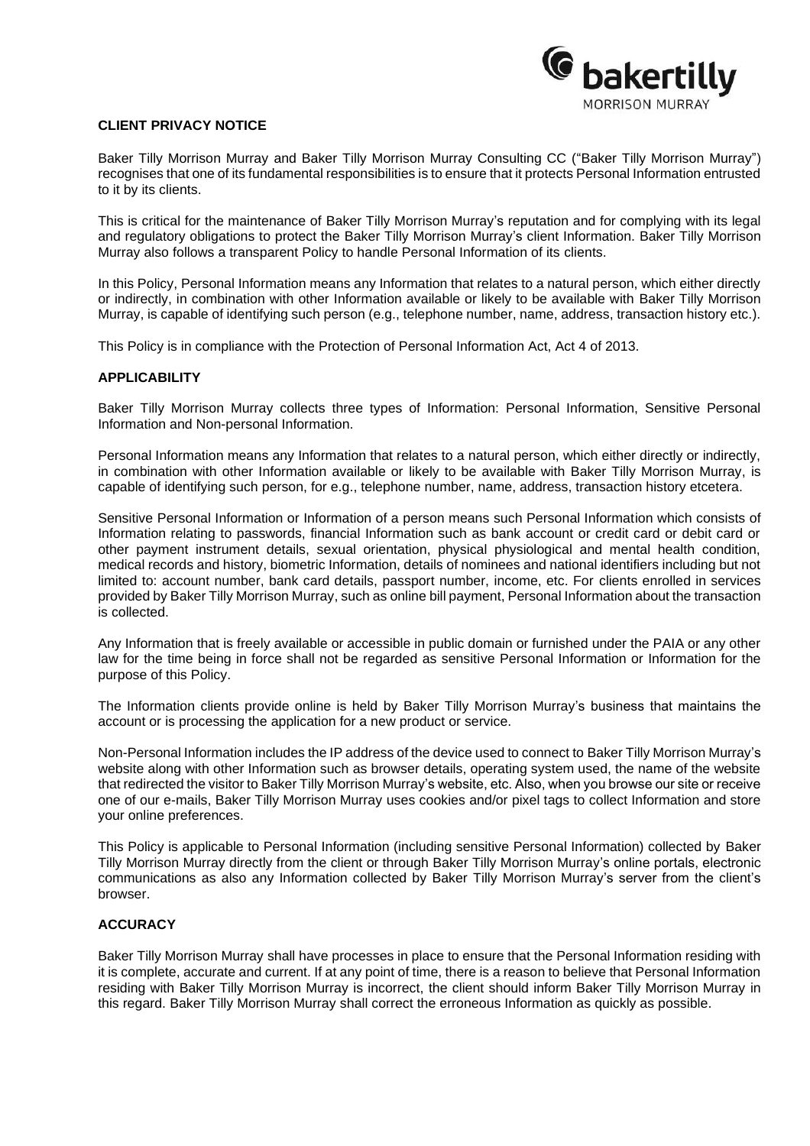

# **CLIENT PRIVACY NOTICE**

Baker Tilly Morrison Murray and Baker Tilly Morrison Murray Consulting CC ("Baker Tilly Morrison Murray") recognises that one of its fundamental responsibilities is to ensure that it protects Personal Information entrusted to it by its clients.

This is critical for the maintenance of Baker Tilly Morrison Murray's reputation and for complying with its legal and regulatory obligations to protect the Baker Tilly Morrison Murray's client Information. Baker Tilly Morrison Murray also follows a transparent Policy to handle Personal Information of its clients.

In this Policy, Personal Information means any Information that relates to a natural person, which either directly or indirectly, in combination with other Information available or likely to be available with Baker Tilly Morrison Murray, is capable of identifying such person (e.g., telephone number, name, address, transaction history etc.).

This Policy is in compliance with the Protection of Personal Information Act, Act 4 of 2013.

### **APPLICABILITY**

Baker Tilly Morrison Murray collects three types of Information: Personal Information, Sensitive Personal Information and Non-personal Information.

Personal Information means any Information that relates to a natural person, which either directly or indirectly, in combination with other Information available or likely to be available with Baker Tilly Morrison Murray, is capable of identifying such person, for e.g., telephone number, name, address, transaction history etcetera.

Sensitive Personal Information or Information of a person means such Personal Information which consists of Information relating to passwords, financial Information such as bank account or credit card or debit card or other payment instrument details, sexual orientation, physical physiological and mental health condition, medical records and history, biometric Information, details of nominees and national identifiers including but not limited to: account number, bank card details, passport number, income, etc. For clients enrolled in services provided by Baker Tilly Morrison Murray, such as online bill payment, Personal Information about the transaction is collected.

Any Information that is freely available or accessible in public domain or furnished under the PAIA or any other law for the time being in force shall not be regarded as sensitive Personal Information or Information for the purpose of this Policy.

The Information clients provide online is held by Baker Tilly Morrison Murray's business that maintains the account or is processing the application for a new product or service.

Non-Personal Information includes the IP address of the device used to connect to Baker Tilly Morrison Murray's website along with other Information such as browser details, operating system used, the name of the website that redirected the visitor to Baker Tilly Morrison Murray's website, etc. Also, when you browse our site or receive one of our e-mails, Baker Tilly Morrison Murray uses cookies and/or pixel tags to collect Information and store your online preferences.

This Policy is applicable to Personal Information (including sensitive Personal Information) collected by Baker Tilly Morrison Murray directly from the client or through Baker Tilly Morrison Murray's online portals, electronic communications as also any Information collected by Baker Tilly Morrison Murray's server from the client's browser.

### **ACCURACY**

Baker Tilly Morrison Murray shall have processes in place to ensure that the Personal Information residing with it is complete, accurate and current. If at any point of time, there is a reason to believe that Personal Information residing with Baker Tilly Morrison Murray is incorrect, the client should inform Baker Tilly Morrison Murray in this regard. Baker Tilly Morrison Murray shall correct the erroneous Information as quickly as possible.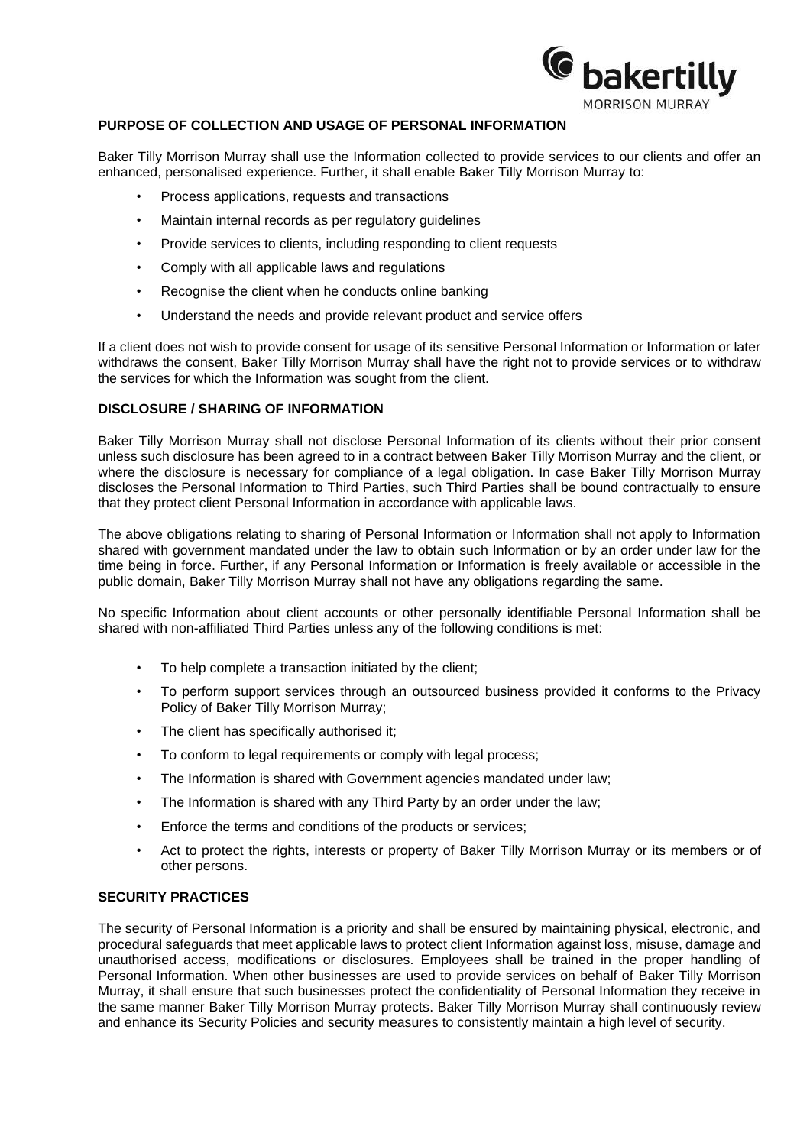

# **PURPOSE OF COLLECTION AND USAGE OF PERSONAL INFORMATION**

Baker Tilly Morrison Murray shall use the Information collected to provide services to our clients and offer an enhanced, personalised experience. Further, it shall enable Baker Tilly Morrison Murray to:

- Process applications, requests and transactions
- Maintain internal records as per regulatory guidelines
- Provide services to clients, including responding to client requests
- Comply with all applicable laws and regulations
- Recognise the client when he conducts online banking
- Understand the needs and provide relevant product and service offers

If a client does not wish to provide consent for usage of its sensitive Personal Information or Information or later withdraws the consent, Baker Tilly Morrison Murray shall have the right not to provide services or to withdraw the services for which the Information was sought from the client.

# **DISCLOSURE / SHARING OF INFORMATION**

Baker Tilly Morrison Murray shall not disclose Personal Information of its clients without their prior consent unless such disclosure has been agreed to in a contract between Baker Tilly Morrison Murray and the client, or where the disclosure is necessary for compliance of a legal obligation. In case Baker Tilly Morrison Murray discloses the Personal Information to Third Parties, such Third Parties shall be bound contractually to ensure that they protect client Personal Information in accordance with applicable laws.

The above obligations relating to sharing of Personal Information or Information shall not apply to Information shared with government mandated under the law to obtain such Information or by an order under law for the time being in force. Further, if any Personal Information or Information is freely available or accessible in the public domain, Baker Tilly Morrison Murray shall not have any obligations regarding the same.

No specific Information about client accounts or other personally identifiable Personal Information shall be shared with non-affiliated Third Parties unless any of the following conditions is met:

- To help complete a transaction initiated by the client;
- To perform support services through an outsourced business provided it conforms to the Privacy Policy of Baker Tilly Morrison Murray;
- The client has specifically authorised it;
- To conform to legal requirements or comply with legal process;
- The Information is shared with Government agencies mandated under law;
- The Information is shared with any Third Party by an order under the law;
- Enforce the terms and conditions of the products or services;
- Act to protect the rights, interests or property of Baker Tilly Morrison Murray or its members or of other persons.

### **SECURITY PRACTICES**

The security of Personal Information is a priority and shall be ensured by maintaining physical, electronic, and procedural safeguards that meet applicable laws to protect client Information against loss, misuse, damage and unauthorised access, modifications or disclosures. Employees shall be trained in the proper handling of Personal Information. When other businesses are used to provide services on behalf of Baker Tilly Morrison Murray, it shall ensure that such businesses protect the confidentiality of Personal Information they receive in the same manner Baker Tilly Morrison Murray protects. Baker Tilly Morrison Murray shall continuously review and enhance its Security Policies and security measures to consistently maintain a high level of security.